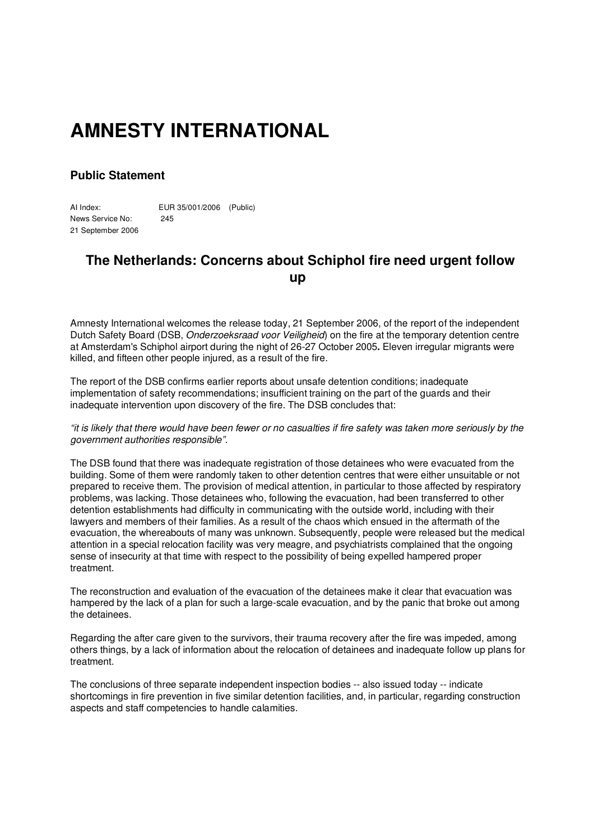## **AMNESTY INTERNATIONAL**

## **Public Statement**

AI Index: EUR 35/001/2006 (Public) News Service No: 245 21 September 2006

## **The Netherlands: Concerns about Schiphol fire need urgent follow up**

Amnesty International welcomes the release today, 21 September 2006, of the report of the independent Dutch Safety Board (DSB, *Onderzoeksraad voor Veiligheid*) on the fire at the temporary detention centre at Amsterdam's Schiphol airport during the night of 26-27 October 2005**.** Eleven irregular migrants were killed, and fifteen other people injured, as a result of the fire.

The report of the DSB confirms earlier reports about unsafe detention conditions; inadequate implementation of safety recommendations; insufficient training on the part of the guards and their inadequate intervention upon discovery of the fire. The DSB concludes that:

"it is likely that there would have been fewer or no casualties if fire safety was taken more seriously by the *government authorities responsible"*.

The DSB found that there was inadequate registration of those detainees who were evacuated from the building. Some of them were randomly taken to other detention centres that were either unsuitable or not prepared to receive them. The provision of medical attention, in particular to those affected by respiratory problems, was lacking. Those detainees who, following the evacuation, had been transferred to other detention establishments had difficulty in communicating with the outside world, including with their lawyers and members of their families. As a result of the chaos which ensued in the aftermath of the evacuation, the whereabouts of many was unknown. Subsequently, people were released but the medical attention in a special relocation facility was very meagre, and psychiatrists complained that the ongoing sense of insecurity at that time with respect to the possibility of being expelled hampered proper treatment.

The reconstruction and evaluation of the evacuation of the detainees make it clear that evacuation was hampered by the lack of a plan for such a large-scale evacuation, and by the panic that broke out among the detainees.

Regarding the after care given to the survivors, their trauma recovery after the fire was impeded, among others things, by a lack of information about the relocation of detainees and inadequate follow up plans for treatment.

The conclusions of three separate independent inspection bodies -- also issued today -- indicate shortcomings in fire prevention in five similar detention facilities, and, in particular, regarding construction aspects and staff competencies to handle calamities.